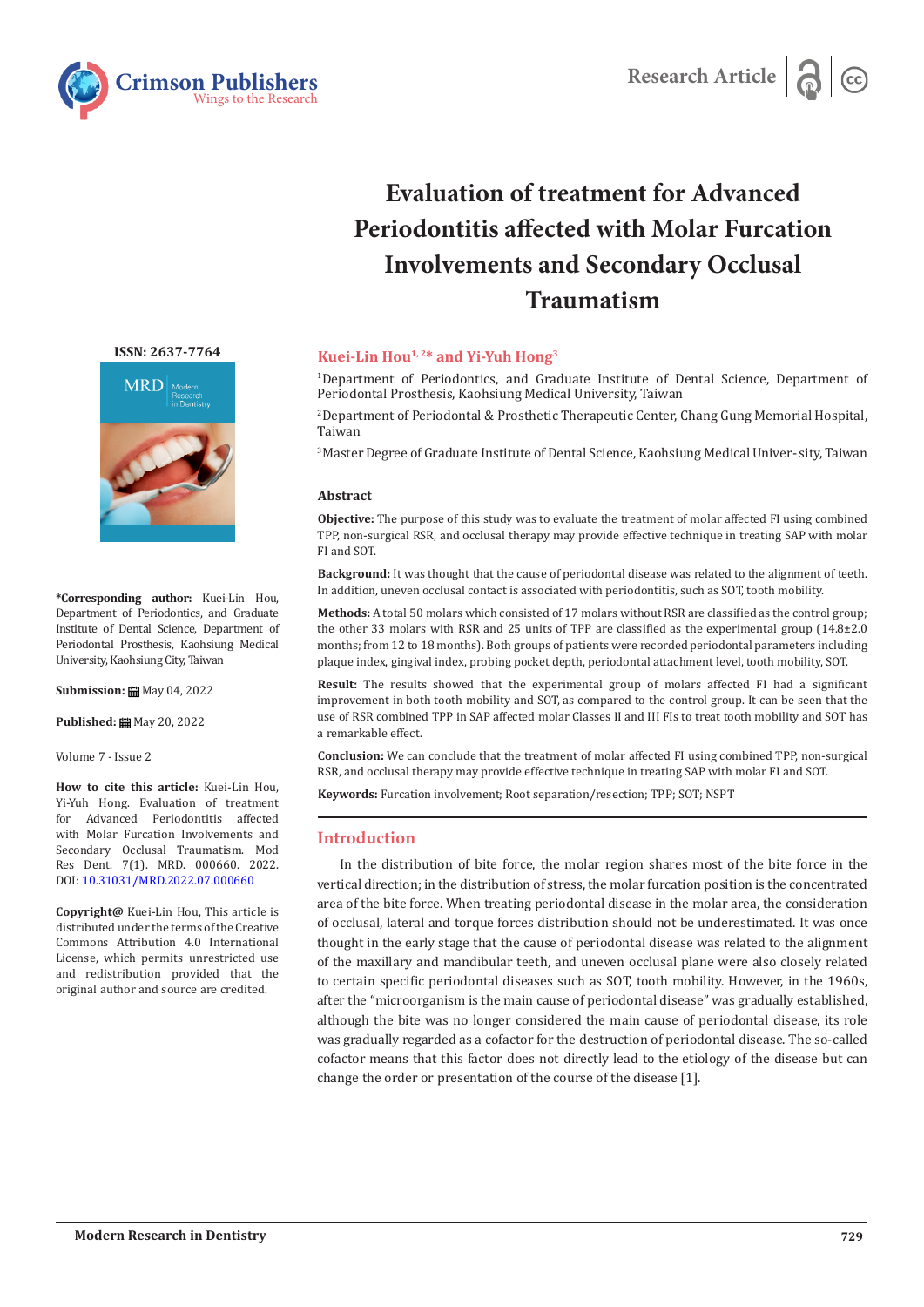



# **Evaluation of treatment for Advanced Periodontitis affected with Molar Furcation Involvements and Secondary Occlusal Traumatism**

### **Kuei-Lin Hou1, 2\* and Yi-Yuh Hong3**

1 Department of Periodontics, and Graduate Institute of Dental Science, Department of Periodontal Prosthesis, Kaohsiung Medical University, Taiwan

2 Department of Periodontal & Prosthetic Therapeutic Center, Chang Gung Memorial Hospital, Taiwan

3 Master Degree of Graduate Institute of Dental Science, Kaohsiung Medical Univer- sity, Taiwan

#### **Abstract**

**Objective:** The purpose of this study was to evaluate the treatment of molar affected FI using combined TPP, non-surgical RSR, and occlusal therapy may provide effective technique in treating SAP with molar FI and SOT.

**Background:** It was thought that the cause of periodontal disease was related to the alignment of teeth. In addition, uneven occlusal contact is associated with periodontitis, such as SOT, tooth mobility.

**Methods:** A total 50 molars which consisted of 17 molars without RSR are classified as the control group; the other 33 molars with RSR and 25 units of TPP are classified as the experimental group (14.8±2.0 months; from 12 to 18 months). Both groups of patients were recorded periodontal parameters including plaque index, gingival index, probing pocket depth, periodontal attachment level, tooth mobility, SOT.

**Result:** The results showed that the experimental group of molars affected FI had a significant improvement in both tooth mobility and SOT, as compared to the control group. It can be seen that the use of RSR combined TPP in SAP affected molar Classes II and III FIs to treat tooth mobility and SOT has a remarkable effect.

**Conclusion:** We can conclude that the treatment of molar affected FI using combined TPP, non-surgical RSR, and occlusal therapy may provide effective technique in treating SAP with molar FI and SOT.

**Keywords:** Furcation involvement; Root separation/resection; TPP; SOT; NSPT

#### **Introduction**

In the distribution of bite force, the molar region shares most of the bite force in the vertical direction; in the distribution of stress, the molar furcation position is the concentrated area of the bite force. When treating periodontal disease in the molar area, the consideration of occlusal, lateral and torque forces distribution should not be underestimated. It was once thought in the early stage that the cause of periodontal disease was related to the alignment of the maxillary and mandibular teeth, and uneven occlusal plane were also closely related to certain specific periodontal diseases such as SOT, tooth mobility. However, in the 1960s, after the "microorganism is the main cause of periodontal disease" was gradually established, although the bite was no longer considered the main cause of periodontal disease, its role was gradually regarded as a cofactor for the destruction of periodontal disease. The so-called cofactor means that this factor does not directly lead to the etiology of the disease but can change the order or presentation of the course of the disease [1].

**[ISSN: 2637-7764](https://crimsonpublishers.com/mrd/)**



**\*Corresponding author:** Kuei-Lin Hou, Department of Periodontics, and Graduate Institute of Dental Science, Department of Periodontal Prosthesis, Kaohsiung Medical University, Kaohsiung City, Taiwan

**Submission: 曲** May 04, 2022

Published: **曲** May 20, 2022

Volume 7 - Issue 2

**How to cite this article:** Kuei-Lin Hou, Yi-Yuh Hong. Evaluation of treatment for Advanced Periodontitis affected with Molar Furcation Involvements and Secondary Occlusal Traumatism. Mod Res Dent. 7(1). MRD. 000660. 2022. DOI: [10.31031/MRD.2022.07.000660](http://dx.doi.org/10.31031/MRD.2022.07.000660)

**Copyright@** Kuei-Lin Hou, This article is distributed under the terms of the Creative Commons Attribution 4.0 International License, which permits unrestricted use and redistribution provided that the original author and source are credited.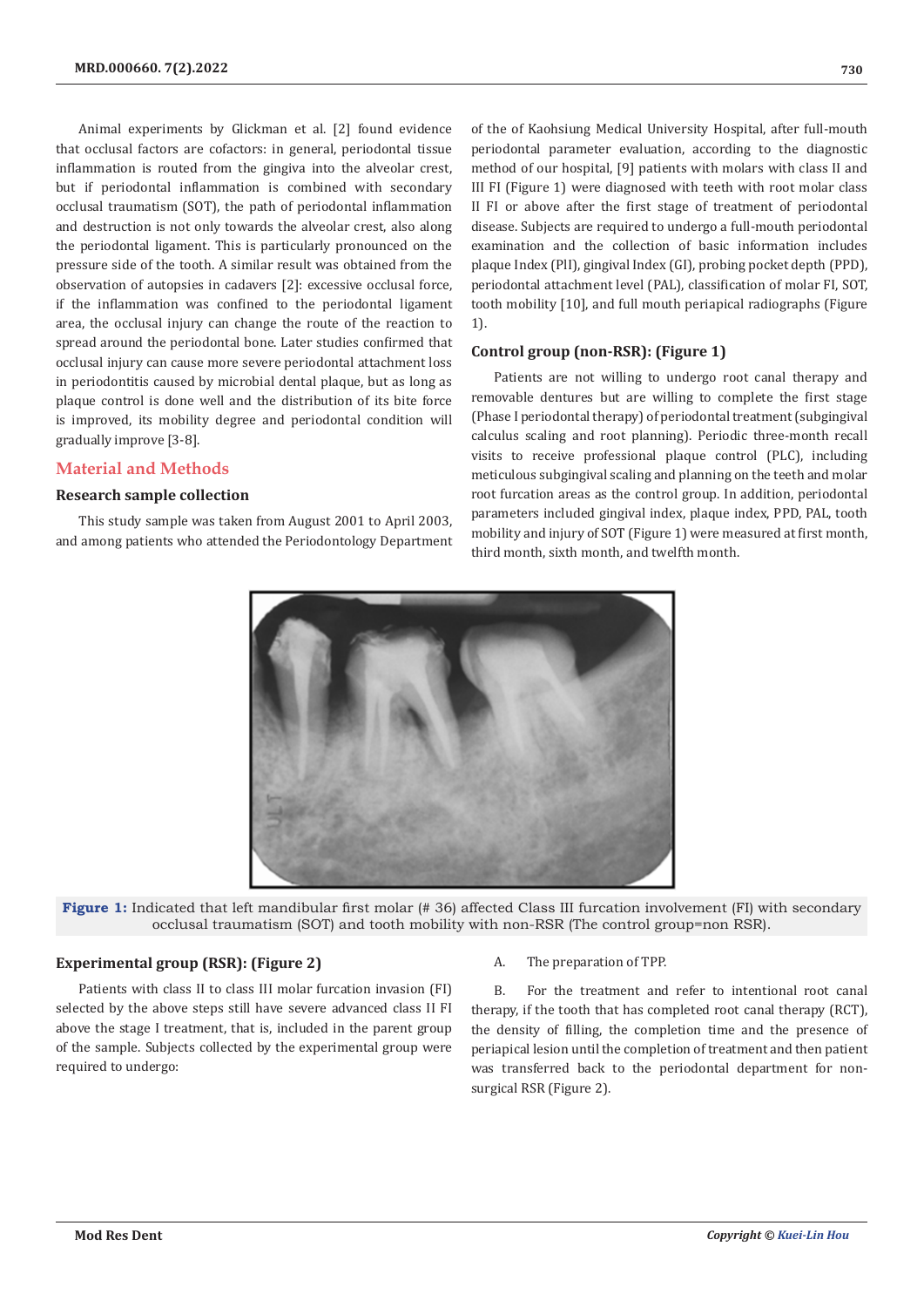Animal experiments by Glickman et al. [2] found evidence that occlusal factors are cofactors: in general, periodontal tissue inflammation is routed from the gingiva into the alveolar crest, but if periodontal inflammation is combined with secondary occlusal traumatism (SOT), the path of periodontal inflammation and destruction is not only towards the alveolar crest, also along the periodontal ligament. This is particularly pronounced on the pressure side of the tooth. A similar result was obtained from the observation of autopsies in cadavers [2]: excessive occlusal force, if the inflammation was confined to the periodontal ligament area, the occlusal injury can change the route of the reaction to spread around the periodontal bone. Later studies confirmed that occlusal injury can cause more severe periodontal attachment loss in periodontitis caused by microbial dental plaque, but as long as plaque control is done well and the distribution of its bite force is improved, its mobility degree and periodontal condition will gradually improve [3-8].

# **Material and Methods**

### **Research sample collection**

This study sample was taken from August 2001 to April 2003, and among patients who attended the Periodontology Department of the of Kaohsiung Medical University Hospital, after full-mouth periodontal parameter evaluation, according to the diagnostic method of our hospital, [9] patients with molars with class II and III FI (Figure 1) were diagnosed with teeth with root molar class II FI or above after the first stage of treatment of periodontal disease. Subjects are required to undergo a full-mouth periodontal examination and the collection of basic information includes plaque Index (PlI), gingival Index (GI), probing pocket depth (PPD), periodontal attachment level (PAL), classification of molar FI, SOT, tooth mobility [10], and full mouth periapical radiographs (Figure 1).

## **Control group (non-RSR): (Figure 1)**

Patients are not willing to undergo root canal therapy and removable dentures but are willing to complete the first stage (Phase I periodontal therapy) of periodontal treatment (subgingival calculus scaling and root planning). Periodic three-month recall visits to receive professional plaque control (PLC), including meticulous subgingival scaling and planning on the teeth and molar root furcation areas as the control group. In addition, periodontal parameters included gingival index, plaque index, PPD, PAL, tooth mobility and injury of SOT (Figure 1) were measured at first month, third month, sixth month, and twelfth month.



**Figure 1:** Indicated that left mandibular first molar (# 36) affected Class III furcation involvement (FI) with secondary occlusal traumatism (SOT) and tooth mobility with non-RSR (The control group=non RSR).

# **Experimental group (RSR): (Figure 2)**

Patients with class II to class III molar furcation invasion (FI) selected by the above steps still have severe advanced class II FI above the stage I treatment, that is, included in the parent group of the sample. Subjects collected by the experimental group were required to undergo:

#### A. The preparation of TPP.

B. For the treatment and refer to intentional root canal therapy, if the tooth that has completed root canal therapy (RCT), the density of filling, the completion time and the presence of periapical lesion until the completion of treatment and then patient was transferred back to the periodontal department for nonsurgical RSR (Figure 2).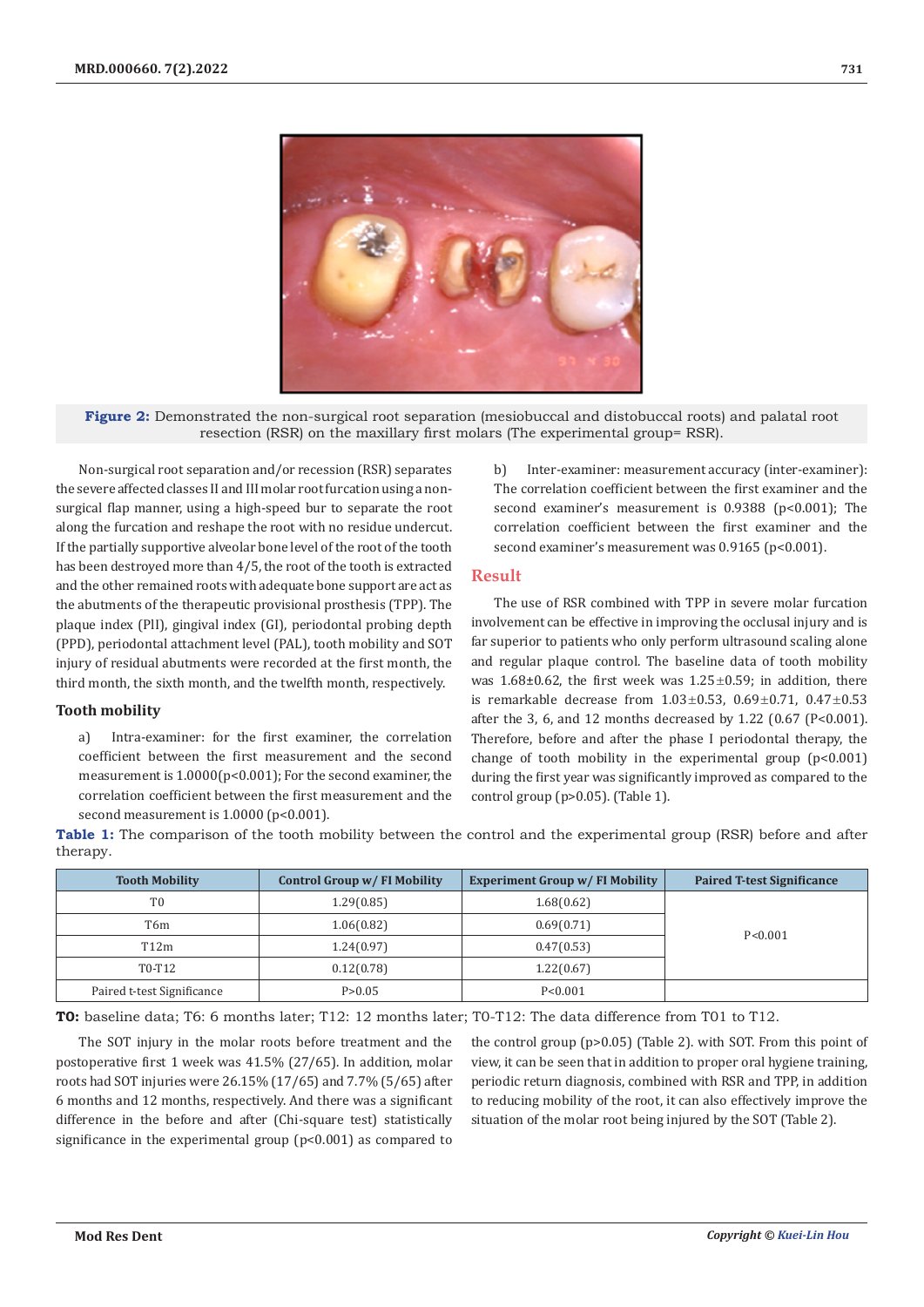



Non-surgical root separation and/or recession (RSR) separates the severe affected classes II and III molar root furcation using a nonsurgical flap manner, using a high-speed bur to separate the root along the furcation and reshape the root with no residue undercut. If the partially supportive alveolar bone level of the root of the tooth has been destroyed more than 4/5, the root of the tooth is extracted and the other remained roots with adequate bone support are act as the abutments of the therapeutic provisional prosthesis (TPP). The plaque index (PlI), gingival index (GI), periodontal probing depth (PPD), periodontal attachment level (PAL), tooth mobility and SOT injury of residual abutments were recorded at the first month, the third month, the sixth month, and the twelfth month, respectively.

# **Tooth mobility**

a) Intra-examiner: for the first examiner, the correlation coefficient between the first measurement and the second measurement is 1.0000(p<0.001); For the second examiner, the correlation coefficient between the first measurement and the second measurement is 1.0000 (p<0.001).

b) Inter-examiner: measurement accuracy (inter-examiner): The correlation coefficient between the first examiner and the second examiner's measurement is 0.9388 (p<0.001); The correlation coefficient between the first examiner and the second examiner's measurement was 0.9165 (p<0.001).

# **Result**

The use of RSR combined with TPP in severe molar furcation involvement can be effective in improving the occlusal injury and is far superior to patients who only perform ultrasound scaling alone and regular plaque control. The baseline data of tooth mobility was  $1.68\pm0.62$ , the first week was  $1.25\pm0.59$ ; in addition, there is remarkable decrease from  $1.03 \pm 0.53$ ,  $0.69 \pm 0.71$ ,  $0.47 \pm 0.53$ after the 3, 6, and 12 months decreased by 1.22 (0.67 (P<0.001). Therefore, before and after the phase I periodontal therapy, the change of tooth mobility in the experimental group (p<0.001) during the first year was significantly improved as compared to the control group (p>0.05). (Table 1).

**Table 1:** The comparison of the tooth mobility between the control and the experimental group (RSR) before and after therapy.

| <b>Tooth Mobility</b>      | Control Group w/ FI Mobility | <b>Experiment Group w/ FI Mobility</b> | <b>Paired T-test Significance</b> |
|----------------------------|------------------------------|----------------------------------------|-----------------------------------|
| T <sub>0</sub>             | 1.29(0.85)                   | 1.68(0.62)                             |                                   |
| T6m                        | 1.06(0.82)                   | 0.69(0.71)                             |                                   |
| T12m                       | 1.24(0.97)                   | 0.47(0.53)                             | P < 0.001                         |
| T0-T12                     | 0.12(0.78)                   | 1.22(0.67)                             |                                   |
| Paired t-test Significance | P > 0.05                     | P < 0.001                              |                                   |

**T0:** baseline data; T6: 6 months later; T12: 12 months later; T0-T12: The data difference from T01 to T12.

The SOT injury in the molar roots before treatment and the postoperative first 1 week was 41.5% (27/65). In addition, molar roots had SOT injuries were 26.15% (17/65) and 7.7% (5/65) after 6 months and 12 months, respectively. And there was a significant difference in the before and after (Chi-square test) statistically significance in the experimental group (p<0.001) as compared to

the control group (p>0.05) (Table 2). with SOT. From this point of view, it can be seen that in addition to proper oral hygiene training, periodic return diagnosis, combined with RSR and TPP, in addition to reducing mobility of the root, it can also effectively improve the situation of the molar root being injured by the SOT (Table 2).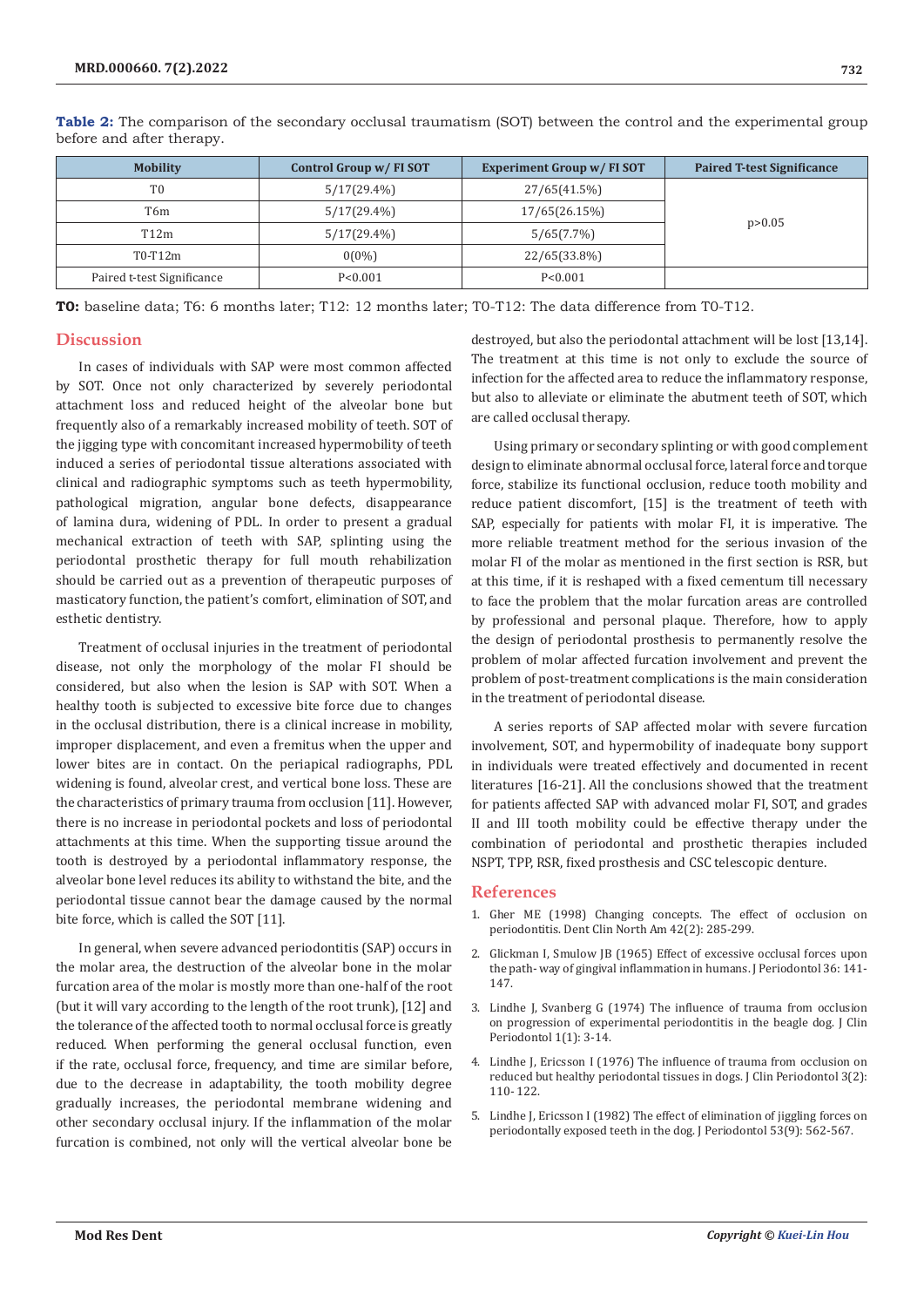| <b>Mobility</b>            | Control Group w/ FI SOT | <b>Experiment Group w/ FI SOT</b> | <b>Paired T-test Significance</b> |  |
|----------------------------|-------------------------|-----------------------------------|-----------------------------------|--|
| T0                         | $5/17(29.4\%)$          | 27/65(41.5%)                      |                                   |  |
| T6m                        | 5/17(29.4%)             | 17/65(26.15%)                     |                                   |  |
| T12m                       | 5/17(29.4%)             | 5/65(7.7%)                        | p > 0.05                          |  |
| T0-T12m                    | $0(0\%)$                | 22/65(33.8%)                      |                                   |  |
| Paired t-test Significance | P < 0.001               | P < 0.001                         |                                   |  |

**Table 2:** The comparison of the secondary occlusal traumatism (SOT) between the control and the experimental group before and after therapy.

**T0:** baseline data; T6: 6 months later; T12: 12 months later; T0-T12: The data difference from T0-T12.

# **Discussion**

In cases of individuals with SAP were most common affected by SOT. Once not only characterized by severely periodontal attachment loss and reduced height of the alveolar bone but frequently also of a remarkably increased mobility of teeth. SOT of the jigging type with concomitant increased hypermobility of teeth induced a series of periodontal tissue alterations associated with clinical and radiographic symptoms such as teeth hypermobility, pathological migration, angular bone defects, disappearance of lamina dura, widening of PDL. In order to present a gradual mechanical extraction of teeth with SAP, splinting using the periodontal prosthetic therapy for full mouth rehabilization should be carried out as a prevention of therapeutic purposes of masticatory function, the patient's comfort, elimination of SOT, and esthetic dentistry.

Treatment of occlusal injuries in the treatment of periodontal disease, not only the morphology of the molar FI should be considered, but also when the lesion is SAP with SOT. When a healthy tooth is subjected to excessive bite force due to changes in the occlusal distribution, there is a clinical increase in mobility, improper displacement, and even a fremitus when the upper and lower bites are in contact. On the periapical radiographs, PDL widening is found, alveolar crest, and vertical bone loss. These are the characteristics of primary trauma from occlusion [11]. However, there is no increase in periodontal pockets and loss of periodontal attachments at this time. When the supporting tissue around the tooth is destroyed by a periodontal inflammatory response, the alveolar bone level reduces its ability to withstand the bite, and the periodontal tissue cannot bear the damage caused by the normal bite force, which is called the SOT [11].

In general, when severe advanced periodontitis (SAP) occurs in the molar area, the destruction of the alveolar bone in the molar furcation area of the molar is mostly more than one-half of the root (but it will vary according to the length of the root trunk), [12] and the tolerance of the affected tooth to normal occlusal force is greatly reduced. When performing the general occlusal function, even if the rate, occlusal force, frequency, and time are similar before, due to the decrease in adaptability, the tooth mobility degree gradually increases, the periodontal membrane widening and other secondary occlusal injury. If the inflammation of the molar furcation is combined, not only will the vertical alveolar bone be

destroyed, but also the periodontal attachment will be lost [13,14]. The treatment at this time is not only to exclude the source of infection for the affected area to reduce the inflammatory response, but also to alleviate or eliminate the abutment teeth of SOT, which are called occlusal therapy.

Using primary or secondary splinting or with good complement design to eliminate abnormal occlusal force, lateral force and torque force, stabilize its functional occlusion, reduce tooth mobility and reduce patient discomfort, [15] is the treatment of teeth with SAP, especially for patients with molar FI, it is imperative. The more reliable treatment method for the serious invasion of the molar FI of the molar as mentioned in the first section is RSR, but at this time, if it is reshaped with a fixed cementum till necessary to face the problem that the molar furcation areas are controlled by professional and personal plaque. Therefore, how to apply the design of periodontal prosthesis to permanently resolve the problem of molar affected furcation involvement and prevent the problem of post-treatment complications is the main consideration in the treatment of periodontal disease.

A series reports of SAP affected molar with severe furcation involvement, SOT, and hypermobility of inadequate bony support in individuals were treated effectively and documented in recent literatures [16-21]. All the conclusions showed that the treatment for patients affected SAP with advanced molar FI, SOT, and grades II and III tooth mobility could be effective therapy under the combination of periodontal and prosthetic therapies included NSPT, TPP, RSR, fixed prosthesis and CSC telescopic denture.

# **References**

- 1. [Gher ME \(1998\) Changing concepts. The effect of occlusion on](https://pubmed.ncbi.nlm.nih.gov/9597338/) [periodontitis. Dent Clin North Am 42\(2\): 285-299.](https://pubmed.ncbi.nlm.nih.gov/9597338/)
- 2. [Glickman I, Smulow JB \(1965\) Effect of excessive occlusal forces upon](https://pubmed.ncbi.nlm.nih.gov/14261862/) [the path- way of gingival inflammation in humans. J Periodontol 36: 141-](https://pubmed.ncbi.nlm.nih.gov/14261862/) [147.](https://pubmed.ncbi.nlm.nih.gov/14261862/)
- 3. [Lindhe J, Svanberg G \(1974\) The influence of trauma from occlusion](https://pubmed.ncbi.nlm.nih.gov/4532114/) [on progression of experimental periodontitis in the beagle dog. J Clin](https://pubmed.ncbi.nlm.nih.gov/4532114/) [Periodontol 1\(1\): 3-14.](https://pubmed.ncbi.nlm.nih.gov/4532114/)
- 4. [Lindhe J, Ericsson I \(1976\) The influence of trauma from occlusion on](https://pubmed.ncbi.nlm.nih.gov/1064595/) [reduced but healthy periodontal tissues in dogs. J Clin Periodontol 3\(2\):](https://pubmed.ncbi.nlm.nih.gov/1064595/) [110- 122.](https://pubmed.ncbi.nlm.nih.gov/1064595/)
- 5. [Lindhe J, Ericsson I \(1982\) The effect of elimination of jiggling forces on](https://pubmed.ncbi.nlm.nih.gov/6957593/) [periodontally exposed teeth in the dog. J Periodontol 53\(9\): 562-567.](https://pubmed.ncbi.nlm.nih.gov/6957593/)